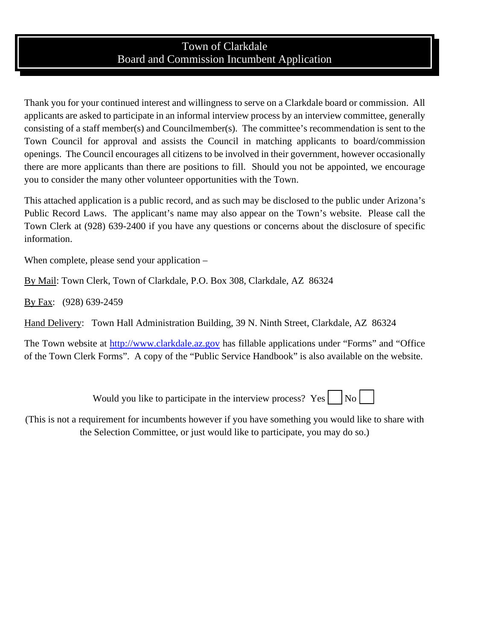## Town of Clarkdale Board and Commission Incumbent Application

Thank you for your continued interest and willingness to serve on a Clarkdale board or commission. All applicants are asked to participate in an informal interview process by an interview committee, generally consisting of a staff member(s) and Councilmember(s). The committee's recommendation is sent to the Town Council for approval and assists the Council in matching applicants to board/commission openings. The Council encourages all citizens to be involved in their government, however occasionally there are more applicants than there are positions to fill. Should you not be appointed, we encourage you to consider the many other volunteer opportunities with the Town.

This attached application is a public record, and as such may be disclosed to the public under Arizona's Public Record Laws. The applicant's name may also appear on the Town's website. Please call the Town Clerk at (928) 639-2400 if you have any questions or concerns about the disclosure of specific information.

When complete, please send your application –

By Mail: Town Clerk, Town of Clarkdale, P.O. Box 308, Clarkdale, AZ 86324

By Fax: (928) 639-2459

Hand Delivery: Town Hall Administration Building, 39 N. Ninth Street, Clarkdale, AZ 86324

The Town website at [http://www.clarkdale.az.gov](http://www.clarkdale.az.gov/) has fillable applications under "Forms" and "Office of the Town Clerk Forms". A copy of the "Public Service Handbook" is also available on the website.

Would you like to participate in the interview process?  $Yes \mid No \mid$ 

(This is not a requirement for incumbents however if you have something you would like to share with the Selection Committee, or just would like to participate, you may do so.)